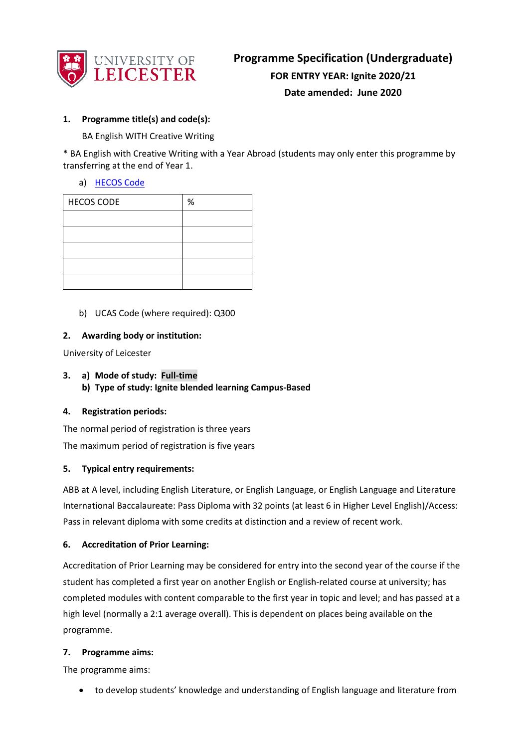

## **1. Programme title(s) and code(s):**

BA English WITH Creative Writing

\* BA English with Creative Writing with a Year Abroad (students may only enter this programme by transferring at the end of Year 1.

## a) [HECOS Code](https://www.hesa.ac.uk/innovation/hecos)

| <b>HECOS CODE</b> | % |
|-------------------|---|
|                   |   |
|                   |   |
|                   |   |
|                   |   |
|                   |   |

b) UCAS Code (where required): Q300

#### **2. Awarding body or institution:**

University of Leicester

**3. a) Mode of study: Full-time b) Type of study: Ignite blended learning Campus-Based**

#### **4. Registration periods:**

The normal period of registration is three years

The maximum period of registration is five years

#### **5. Typical entry requirements:**

ABB at A level, including English Literature, or English Language, or English Language and Literature International Baccalaureate: Pass Diploma with 32 points (at least 6 in Higher Level English)/Access: Pass in relevant diploma with some credits at distinction and a review of recent work.

## **6. Accreditation of Prior Learning:**

Accreditation of Prior Learning may be considered for entry into the second year of the course if the student has completed a first year on another English or English-related course at university; has completed modules with content comparable to the first year in topic and level; and has passed at a high level (normally a 2:1 average overall). This is dependent on places being available on the programme.

#### **7. Programme aims:**

The programme aims:

• to develop students' knowledge and understanding of English language and literature from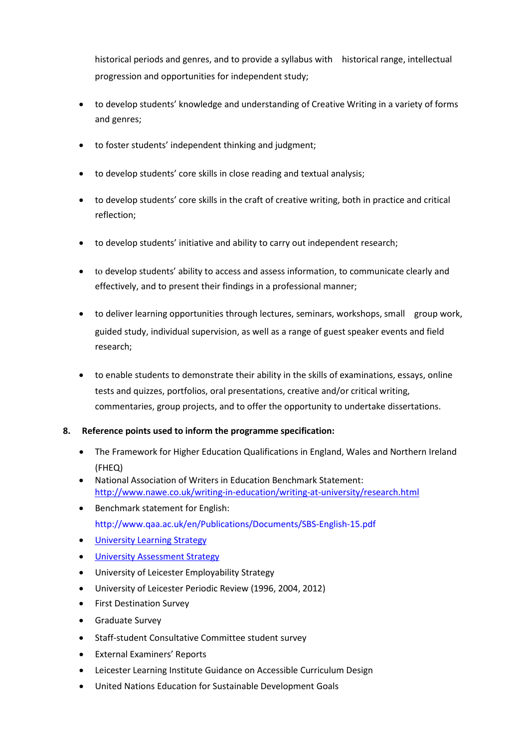historical periods and genres, and to provide a syllabus with historical range, intellectual progression and opportunities for independent study;

- to develop students' knowledge and understanding of Creative Writing in a variety of forms and genres;
- to foster students' independent thinking and judgment;
- to develop students' core skills in close reading and textual analysis;
- to develop students' core skills in the craft of creative writing, both in practice and critical reflection;
- to develop students' initiative and ability to carry out independent research;
- to develop students' ability to access and assess information, to communicate clearly and effectively, and to present their findings in a professional manner;
- to deliver learning opportunities through lectures, seminars, workshops, small group work, guided study, individual supervision, as well as a range of guest speaker events and field research;
- to enable students to demonstrate their ability in the skills of examinations, essays, online tests and quizzes, portfolios, oral presentations, creative and/or critical writing, commentaries, group projects, and to offer the opportunity to undertake dissertations.

## **8. Reference points used to inform the programme specification:**

- The Framework for Higher Education Qualifications in England, Wales and Northern Ireland (FHEQ)
- National Association of Writers in Education Benchmark Statement: <http://www.nawe.co.uk/writing-in-education/writing-at-university/research.html>
- Benchmark statement for English: http://www.qaa.ac.uk/en/Publications/Documents/SBS-English-15.pdf
- [University Learning Strategy](https://www2.le.ac.uk/offices/sas2/quality/learnteach)
- [University Assessment Strategy](https://www2.le.ac.uk/offices/sas2/quality/learnteach)
- University of Leicester Employability Strategy
- University of Leicester Periodic Review (1996, 2004, 2012)
- First Destination Survey
- Graduate Survey
- Staff-student Consultative Committee student survey
- External Examiners' Reports
- Leicester Learning Institute Guidance on Accessible Curriculum Design
- United Nations Education for Sustainable Development Goals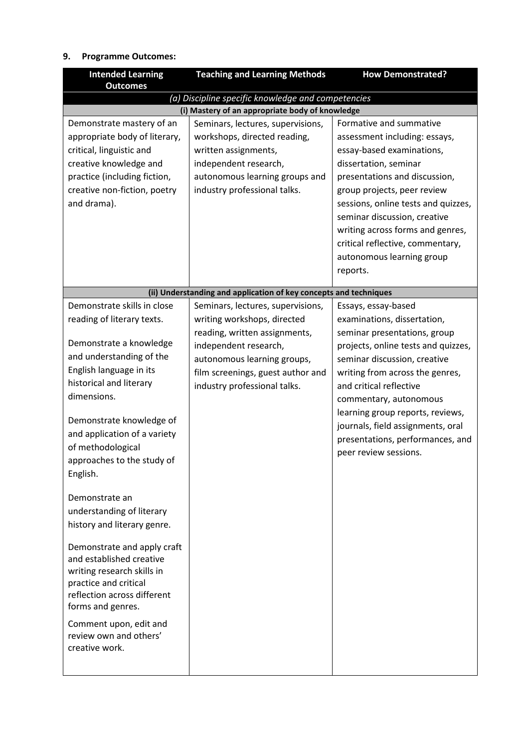## **9. Programme Outcomes:**

| <b>Intended Learning</b><br><b>Outcomes</b>                                                                                                                                                                                                                                                                                                                                                    | <b>Teaching and Learning Methods</b>                                                                                                                                                                                           | <b>How Demonstrated?</b>                                                                                                                                                                                                                                                                                                                                                                |
|------------------------------------------------------------------------------------------------------------------------------------------------------------------------------------------------------------------------------------------------------------------------------------------------------------------------------------------------------------------------------------------------|--------------------------------------------------------------------------------------------------------------------------------------------------------------------------------------------------------------------------------|-----------------------------------------------------------------------------------------------------------------------------------------------------------------------------------------------------------------------------------------------------------------------------------------------------------------------------------------------------------------------------------------|
|                                                                                                                                                                                                                                                                                                                                                                                                | (a) Discipline specific knowledge and competencies                                                                                                                                                                             |                                                                                                                                                                                                                                                                                                                                                                                         |
|                                                                                                                                                                                                                                                                                                                                                                                                | (i) Mastery of an appropriate body of knowledge                                                                                                                                                                                |                                                                                                                                                                                                                                                                                                                                                                                         |
| Demonstrate mastery of an<br>appropriate body of literary,<br>critical, linguistic and<br>creative knowledge and<br>practice (including fiction,<br>creative non-fiction, poetry<br>and drama).                                                                                                                                                                                                | Seminars, lectures, supervisions,<br>workshops, directed reading,<br>written assignments,<br>independent research,<br>autonomous learning groups and<br>industry professional talks.                                           | Formative and summative<br>assessment including: essays,<br>essay-based examinations,<br>dissertation, seminar<br>presentations and discussion,<br>group projects, peer review<br>sessions, online tests and quizzes,<br>seminar discussion, creative<br>writing across forms and genres,<br>critical reflective, commentary,<br>autonomous learning group<br>reports.                  |
|                                                                                                                                                                                                                                                                                                                                                                                                |                                                                                                                                                                                                                                |                                                                                                                                                                                                                                                                                                                                                                                         |
|                                                                                                                                                                                                                                                                                                                                                                                                | (ii) Understanding and application of key concepts and techniques                                                                                                                                                              |                                                                                                                                                                                                                                                                                                                                                                                         |
| Demonstrate skills in close<br>reading of literary texts.<br>Demonstrate a knowledge<br>and understanding of the<br>English language in its<br>historical and literary<br>dimensions.<br>Demonstrate knowledge of<br>and application of a variety<br>of methodological<br>approaches to the study of<br>English.<br>Demonstrate an<br>understanding of literary<br>history and literary genre. | Seminars, lectures, supervisions,<br>writing workshops, directed<br>reading, written assignments,<br>independent research,<br>autonomous learning groups,<br>film screenings, guest author and<br>industry professional talks. | Essays, essay-based<br>examinations, dissertation,<br>seminar presentations, group<br>projects, online tests and quizzes,<br>seminar discussion, creative<br>writing from across the genres,<br>and critical reflective<br>commentary, autonomous<br>learning group reports, reviews,<br>journals, field assignments, oral<br>presentations, performances, and<br>peer review sessions. |
| Demonstrate and apply craft<br>and established creative<br>writing research skills in<br>practice and critical<br>reflection across different<br>forms and genres.<br>Comment upon, edit and<br>review own and others'<br>creative work.                                                                                                                                                       |                                                                                                                                                                                                                                |                                                                                                                                                                                                                                                                                                                                                                                         |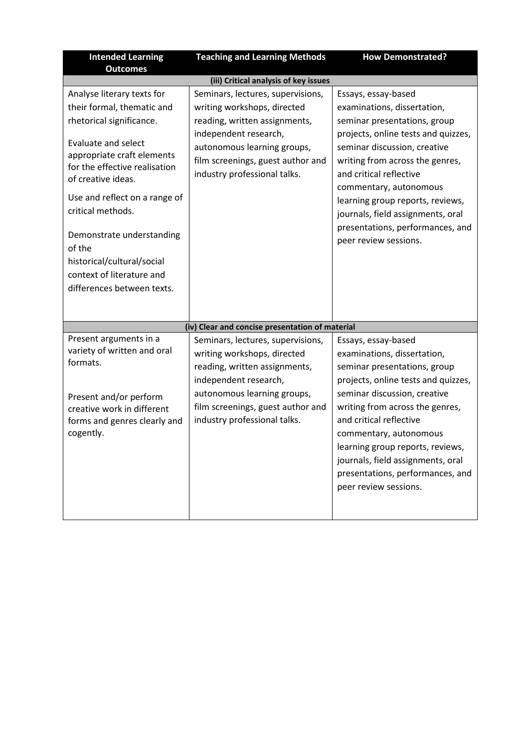| <b>Intended Learning</b><br><b>Outcomes</b>                                                                                                                                                                                                                                                                                                                                                   | <b>Teaching and Learning Methods</b>                                                                                                                                                                                           | <b>How Demonstrated?</b>                                                                                                                                                                                                                                                                                                                                                                |  |
|-----------------------------------------------------------------------------------------------------------------------------------------------------------------------------------------------------------------------------------------------------------------------------------------------------------------------------------------------------------------------------------------------|--------------------------------------------------------------------------------------------------------------------------------------------------------------------------------------------------------------------------------|-----------------------------------------------------------------------------------------------------------------------------------------------------------------------------------------------------------------------------------------------------------------------------------------------------------------------------------------------------------------------------------------|--|
| (iii) Critical analysis of key issues                                                                                                                                                                                                                                                                                                                                                         |                                                                                                                                                                                                                                |                                                                                                                                                                                                                                                                                                                                                                                         |  |
| Analyse literary texts for<br>their formal, thematic and<br>rhetorical significance.<br><b>Evaluate and select</b><br>appropriate craft elements<br>for the effective realisation<br>of creative ideas.<br>Use and reflect on a range of<br>critical methods.<br>Demonstrate understanding<br>of the<br>historical/cultural/social<br>context of literature and<br>differences between texts. | Seminars, lectures, supervisions,<br>writing workshops, directed<br>reading, written assignments,<br>independent research,<br>autonomous learning groups,<br>film screenings, guest author and<br>industry professional talks. | Essays, essay-based<br>examinations, dissertation,<br>seminar presentations, group<br>projects, online tests and quizzes,<br>seminar discussion, creative<br>writing from across the genres,<br>and critical reflective<br>commentary, autonomous<br>learning group reports, reviews,<br>journals, field assignments, oral<br>presentations, performances, and<br>peer review sessions. |  |
|                                                                                                                                                                                                                                                                                                                                                                                               | (iv) Clear and concise presentation of material                                                                                                                                                                                |                                                                                                                                                                                                                                                                                                                                                                                         |  |
| Present arguments in a<br>variety of written and oral<br>formats.<br>Present and/or perform<br>creative work in different<br>forms and genres clearly and<br>cogently.                                                                                                                                                                                                                        | Seminars, lectures, supervisions,<br>writing workshops, directed<br>reading, written assignments,<br>independent research,<br>autonomous learning groups,<br>film screenings, guest author and<br>industry professional talks. | Essays, essay-based<br>examinations, dissertation,<br>seminar presentations, group<br>projects, online tests and quizzes,<br>seminar discussion, creative<br>writing from across the genres,<br>and critical reflective<br>commentary, autonomous<br>learning group reports, reviews,<br>journals, field assignments, oral<br>presentations, performances, and<br>peer review sessions. |  |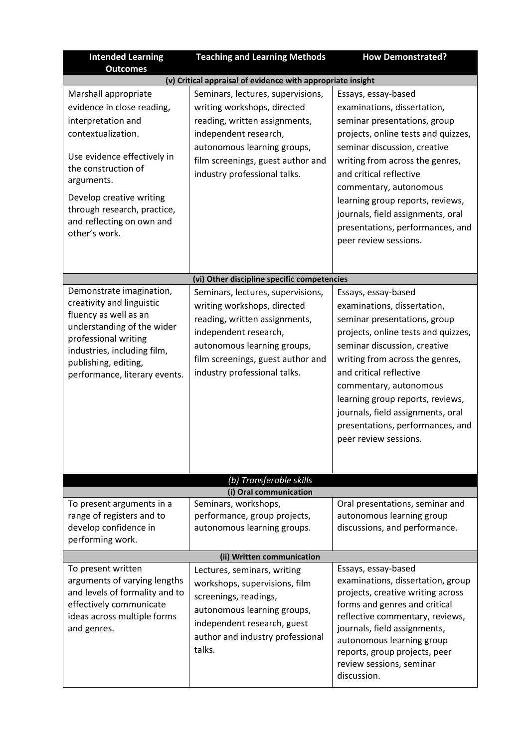| <b>Intended Learning</b><br><b>Outcomes</b>                                                                                                                                                                                                                                 | <b>Teaching and Learning Methods</b>                                                                                                                                                                                           | <b>How Demonstrated?</b>                                                                                                                                                                                                                                                                                                                                                                |  |
|-----------------------------------------------------------------------------------------------------------------------------------------------------------------------------------------------------------------------------------------------------------------------------|--------------------------------------------------------------------------------------------------------------------------------------------------------------------------------------------------------------------------------|-----------------------------------------------------------------------------------------------------------------------------------------------------------------------------------------------------------------------------------------------------------------------------------------------------------------------------------------------------------------------------------------|--|
|                                                                                                                                                                                                                                                                             | (v) Critical appraisal of evidence with appropriate insight                                                                                                                                                                    |                                                                                                                                                                                                                                                                                                                                                                                         |  |
| Marshall appropriate<br>evidence in close reading,<br>interpretation and<br>contextualization.<br>Use evidence effectively in<br>the construction of<br>arguments.<br>Develop creative writing<br>through research, practice,<br>and reflecting on own and<br>other's work. | Seminars, lectures, supervisions,<br>writing workshops, directed<br>reading, written assignments,<br>independent research,<br>autonomous learning groups,<br>film screenings, guest author and<br>industry professional talks. | Essays, essay-based<br>examinations, dissertation,<br>seminar presentations, group<br>projects, online tests and quizzes,<br>seminar discussion, creative<br>writing from across the genres,<br>and critical reflective<br>commentary, autonomous<br>learning group reports, reviews,<br>journals, field assignments, oral<br>presentations, performances, and<br>peer review sessions. |  |
|                                                                                                                                                                                                                                                                             | (vi) Other discipline specific competencies                                                                                                                                                                                    |                                                                                                                                                                                                                                                                                                                                                                                         |  |
| Demonstrate imagination,<br>creativity and linguistic<br>fluency as well as an<br>understanding of the wider<br>professional writing<br>industries, including film,<br>publishing, editing,<br>performance, literary events.                                                | Seminars, lectures, supervisions,<br>writing workshops, directed<br>reading, written assignments,<br>independent research,<br>autonomous learning groups,<br>film screenings, guest author and<br>industry professional talks. | Essays, essay-based<br>examinations, dissertation,<br>seminar presentations, group<br>projects, online tests and quizzes,<br>seminar discussion, creative<br>writing from across the genres,<br>and critical reflective<br>commentary, autonomous<br>learning group reports, reviews,<br>journals, field assignments, oral<br>presentations, performances, and<br>peer review sessions. |  |
|                                                                                                                                                                                                                                                                             | (b) Transferable skills                                                                                                                                                                                                        |                                                                                                                                                                                                                                                                                                                                                                                         |  |
|                                                                                                                                                                                                                                                                             | (i) Oral communication                                                                                                                                                                                                         |                                                                                                                                                                                                                                                                                                                                                                                         |  |
| To present arguments in a<br>range of registers and to<br>develop confidence in<br>performing work.                                                                                                                                                                         | Seminars, workshops,<br>performance, group projects,<br>autonomous learning groups.                                                                                                                                            | Oral presentations, seminar and<br>autonomous learning group<br>discussions, and performance.                                                                                                                                                                                                                                                                                           |  |
| (ii) Written communication                                                                                                                                                                                                                                                  |                                                                                                                                                                                                                                |                                                                                                                                                                                                                                                                                                                                                                                         |  |
| To present written<br>arguments of varying lengths<br>and levels of formality and to<br>effectively communicate<br>ideas across multiple forms<br>and genres.                                                                                                               | Lectures, seminars, writing<br>workshops, supervisions, film<br>screenings, readings,<br>autonomous learning groups,<br>independent research, guest<br>author and industry professional<br>talks.                              | Essays, essay-based<br>examinations, dissertation, group<br>projects, creative writing across<br>forms and genres and critical<br>reflective commentary, reviews,<br>journals, field assignments,<br>autonomous learning group<br>reports, group projects, peer<br>review sessions, seminar<br>discussion.                                                                              |  |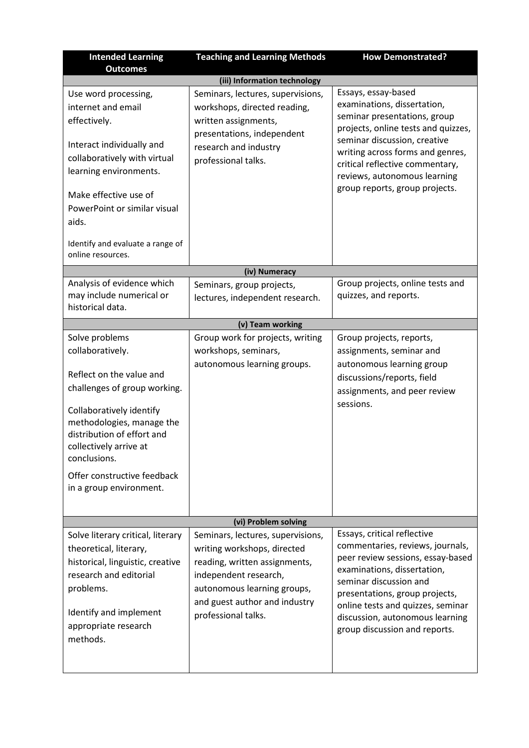| <b>Intended Learning</b><br><b>Outcomes</b>                                                                                                                                                                                                                                               | <b>Teaching and Learning Methods</b>                                                                                                                                                                              | <b>How Demonstrated?</b>                                                                                                                                                                                                                                                                                 |  |
|-------------------------------------------------------------------------------------------------------------------------------------------------------------------------------------------------------------------------------------------------------------------------------------------|-------------------------------------------------------------------------------------------------------------------------------------------------------------------------------------------------------------------|----------------------------------------------------------------------------------------------------------------------------------------------------------------------------------------------------------------------------------------------------------------------------------------------------------|--|
| (iii) Information technology                                                                                                                                                                                                                                                              |                                                                                                                                                                                                                   |                                                                                                                                                                                                                                                                                                          |  |
| Use word processing,<br>internet and email<br>effectively.<br>Interact individually and<br>collaboratively with virtual<br>learning environments.<br>Make effective use of<br>PowerPoint or similar visual<br>aids.<br>Identify and evaluate a range of<br>online resources.              | Seminars, lectures, supervisions,<br>workshops, directed reading,<br>written assignments,<br>presentations, independent<br>research and industry<br>professional talks.                                           | Essays, essay-based<br>examinations, dissertation,<br>seminar presentations, group<br>projects, online tests and quizzes,<br>seminar discussion, creative<br>writing across forms and genres,<br>critical reflective commentary,<br>reviews, autonomous learning<br>group reports, group projects.       |  |
|                                                                                                                                                                                                                                                                                           | (iv) Numeracy                                                                                                                                                                                                     |                                                                                                                                                                                                                                                                                                          |  |
| Analysis of evidence which<br>may include numerical or<br>historical data.                                                                                                                                                                                                                | Seminars, group projects,<br>lectures, independent research.                                                                                                                                                      | Group projects, online tests and<br>quizzes, and reports.                                                                                                                                                                                                                                                |  |
|                                                                                                                                                                                                                                                                                           | (v) Team working                                                                                                                                                                                                  |                                                                                                                                                                                                                                                                                                          |  |
| Solve problems<br>collaboratively.<br>Reflect on the value and<br>challenges of group working.<br>Collaboratively identify<br>methodologies, manage the<br>distribution of effort and<br>collectively arrive at<br>conclusions.<br>Offer constructive feedback<br>in a group environment. | Group work for projects, writing<br>workshops, seminars,<br>autonomous learning groups.                                                                                                                           | Group projects, reports,<br>assignments, seminar and<br>autonomous learning group<br>discussions/reports, field<br>assignments, and peer review<br>sessions.                                                                                                                                             |  |
| (vi) Problem solving                                                                                                                                                                                                                                                                      |                                                                                                                                                                                                                   |                                                                                                                                                                                                                                                                                                          |  |
| Solve literary critical, literary<br>theoretical, literary,<br>historical, linguistic, creative<br>research and editorial<br>problems.<br>Identify and implement<br>appropriate research<br>methods.                                                                                      | Seminars, lectures, supervisions,<br>writing workshops, directed<br>reading, written assignments,<br>independent research,<br>autonomous learning groups,<br>and guest author and industry<br>professional talks. | Essays, critical reflective<br>commentaries, reviews, journals,<br>peer review sessions, essay-based<br>examinations, dissertation,<br>seminar discussion and<br>presentations, group projects,<br>online tests and quizzes, seminar<br>discussion, autonomous learning<br>group discussion and reports. |  |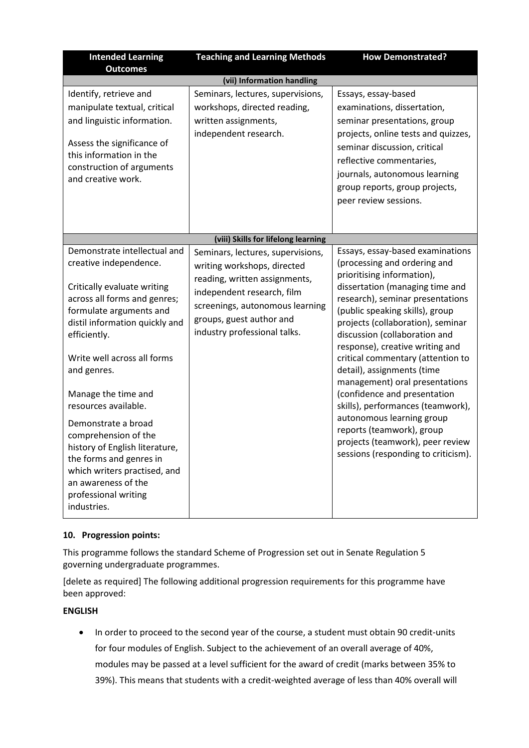| <b>Intended Learning</b><br><b>Outcomes</b>                                                                                                                                                                                                                                                                                                                                                                                                                                                               | <b>Teaching and Learning Methods</b>                                                                                                                                                                                           | <b>How Demonstrated?</b>                                                                                                                                                                                                                                                                                                                                                                                                                                                                                                                                                                                                         |  |  |
|-----------------------------------------------------------------------------------------------------------------------------------------------------------------------------------------------------------------------------------------------------------------------------------------------------------------------------------------------------------------------------------------------------------------------------------------------------------------------------------------------------------|--------------------------------------------------------------------------------------------------------------------------------------------------------------------------------------------------------------------------------|----------------------------------------------------------------------------------------------------------------------------------------------------------------------------------------------------------------------------------------------------------------------------------------------------------------------------------------------------------------------------------------------------------------------------------------------------------------------------------------------------------------------------------------------------------------------------------------------------------------------------------|--|--|
|                                                                                                                                                                                                                                                                                                                                                                                                                                                                                                           | (vii) Information handling                                                                                                                                                                                                     |                                                                                                                                                                                                                                                                                                                                                                                                                                                                                                                                                                                                                                  |  |  |
| Identify, retrieve and<br>manipulate textual, critical<br>and linguistic information.<br>Assess the significance of<br>this information in the<br>construction of arguments<br>and creative work.                                                                                                                                                                                                                                                                                                         | Seminars, lectures, supervisions,<br>workshops, directed reading,<br>written assignments,<br>independent research.                                                                                                             | Essays, essay-based<br>examinations, dissertation,<br>seminar presentations, group<br>projects, online tests and quizzes,<br>seminar discussion, critical<br>reflective commentaries,<br>journals, autonomous learning<br>group reports, group projects,<br>peer review sessions.                                                                                                                                                                                                                                                                                                                                                |  |  |
|                                                                                                                                                                                                                                                                                                                                                                                                                                                                                                           | (viii) Skills for lifelong learning                                                                                                                                                                                            |                                                                                                                                                                                                                                                                                                                                                                                                                                                                                                                                                                                                                                  |  |  |
| Demonstrate intellectual and<br>creative independence.<br>Critically evaluate writing<br>across all forms and genres;<br>formulate arguments and<br>distil information quickly and<br>efficiently.<br>Write well across all forms<br>and genres.<br>Manage the time and<br>resources available.<br>Demonstrate a broad<br>comprehension of the<br>history of English literature,<br>the forms and genres in<br>which writers practised, and<br>an awareness of the<br>professional writing<br>industries. | Seminars, lectures, supervisions,<br>writing workshops, directed<br>reading, written assignments,<br>independent research, film<br>screenings, autonomous learning<br>groups, guest author and<br>industry professional talks. | Essays, essay-based examinations<br>(processing and ordering and<br>prioritising information),<br>dissertation (managing time and<br>research), seminar presentations<br>(public speaking skills), group<br>projects (collaboration), seminar<br>discussion (collaboration and<br>response), creative writing and<br>critical commentary (attention to<br>detail), assignments (time<br>management) oral presentations<br>(confidence and presentation<br>skills), performances (teamwork),<br>autonomous learning group<br>reports (teamwork), group<br>projects (teamwork), peer review<br>sessions (responding to criticism). |  |  |

## **10. Progression points:**

This programme follows the standard Scheme of Progression set out in Senate Regulation 5 governing undergraduate programmes.

[delete as required] The following additional progression requirements for this programme have been approved:

## **ENGLISH**

• In order to proceed to the second year of the course, a student must obtain 90 credit-units for four modules of English. Subject to the achievement of an overall average of 40%, modules may be passed at a level sufficient for the award of credit (marks between 35% to 39%). This means that students with a credit-weighted average of less than 40% overall will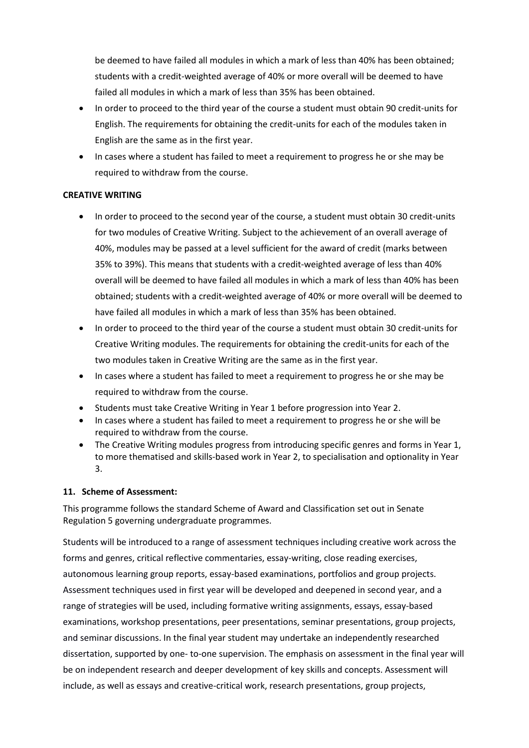be deemed to have failed all modules in which a mark of less than 40% has been obtained; students with a credit-weighted average of 40% or more overall will be deemed to have failed all modules in which a mark of less than 35% has been obtained.

- In order to proceed to the third year of the course a student must obtain 90 credit-units for English. The requirements for obtaining the credit-units for each of the modules taken in English are the same as in the first year.
- In cases where a student has failed to meet a requirement to progress he or she may be required to withdraw from the course.

#### **CREATIVE WRITING**

- In order to proceed to the second year of the course, a student must obtain 30 credit-units for two modules of Creative Writing. Subject to the achievement of an overall average of 40%, modules may be passed at a level sufficient for the award of credit (marks between 35% to 39%). This means that students with a credit-weighted average of less than 40% overall will be deemed to have failed all modules in which a mark of less than 40% has been obtained; students with a credit-weighted average of 40% or more overall will be deemed to have failed all modules in which a mark of less than 35% has been obtained.
- In order to proceed to the third year of the course a student must obtain 30 credit-units for Creative Writing modules. The requirements for obtaining the credit-units for each of the two modules taken in Creative Writing are the same as in the first year.
- In cases where a student has failed to meet a requirement to progress he or she may be required to withdraw from the course.
- Students must take Creative Writing in Year 1 before progression into Year 2.
- In cases where a student has failed to meet a requirement to progress he or she will be required to withdraw from the course.
- The Creative Writing modules progress from introducing specific genres and forms in Year 1, to more thematised and skills-based work in Year 2, to specialisation and optionality in Year 3.

## **11. Scheme of Assessment:**

This programme follows the standard Scheme of Award and Classification set out in Senate Regulation 5 governing undergraduate programmes.

Students will be introduced to a range of assessment techniques including creative work across the forms and genres, critical reflective commentaries, essay-writing, close reading exercises, autonomous learning group reports, essay-based examinations, portfolios and group projects. Assessment techniques used in first year will be developed and deepened in second year, and a range of strategies will be used, including formative writing assignments, essays, essay-based examinations, workshop presentations, peer presentations, seminar presentations, group projects, and seminar discussions. In the final year student may undertake an independently researched dissertation, supported by one- to-one supervision. The emphasis on assessment in the final year will be on independent research and deeper development of key skills and concepts. Assessment will include, as well as essays and creative-critical work, research presentations, group projects,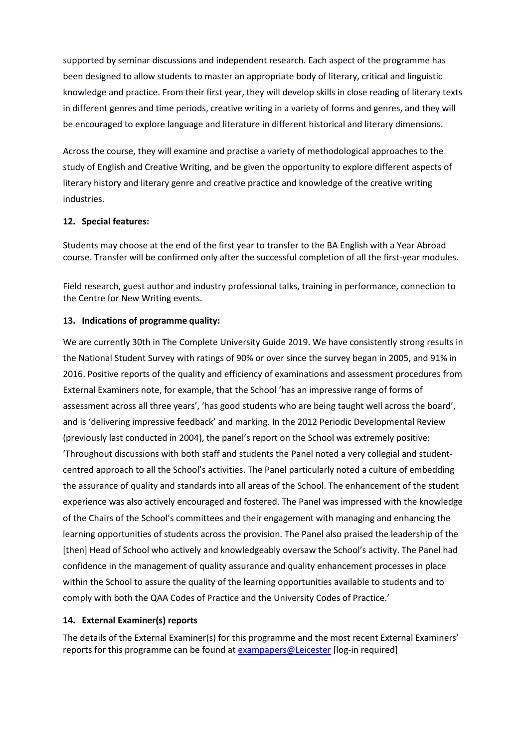supported by seminar discussions and independent research. Each aspect of the programme has been designed to allow students to master an appropriate body of literary, critical and linguistic knowledge and practice. From their first year, they will develop skills in close reading of literary texts in different genres and time periods, creative writing in a variety of forms and genres, and they will be encouraged to explore language and literature in different historical and literary dimensions.

Across the course, they will examine and practise a variety of methodological approaches to the study of English and Creative Writing, and be given the opportunity to explore different aspects of literary history and literary genre and creative practice and knowledge of the creative writing industries.

#### **12. Special features:**

Students may choose at the end of the first year to transfer to the BA English with a Year Abroad course. Transfer will be confirmed only after the successful completion of all the first-year modules.

Field research, guest author and industry professional talks, training in performance, connection to the Centre for New Writing events.

#### **13. Indications of programme quality:**

We are currently 30th in The Complete University Guide 2019. We have consistently strong results in the National Student Survey with ratings of 90% or over since the survey began in 2005, and 91% in 2016. Positive reports of the quality and efficiency of examinations and assessment procedures from External Examiners note, for example, that the School 'has an impressive range of forms of assessment across all three years', 'has good students who are being taught well across the board', and is 'delivering impressive feedback' and marking. In the 2012 Periodic Developmental Review (previously last conducted in 2004), the panel's report on the School was extremely positive: 'Throughout discussions with both staff and students the Panel noted a very collegial and studentcentred approach to all the School's activities. The Panel particularly noted a culture of embedding the assurance of quality and standards into all areas of the School. The enhancement of the student experience was also actively encouraged and fostered. The Panel was impressed with the knowledge of the Chairs of the School's committees and their engagement with managing and enhancing the learning opportunities of students across the provision. The Panel also praised the leadership of the [then] Head of School who actively and knowledgeably oversaw the School's activity. The Panel had confidence in the management of quality assurance and quality enhancement processes in place within the School to assure the quality of the learning opportunities available to students and to comply with both the QAA Codes of Practice and the University Codes of Practice.'

## **14. External Examiner(s) reports**

The details of the External Examiner(s) for this programme and the most recent External Examiners' reports for this programme can be found at [exampapers@Leicester](https://exampapers.le.ac.uk/xmlui/) [log-in required]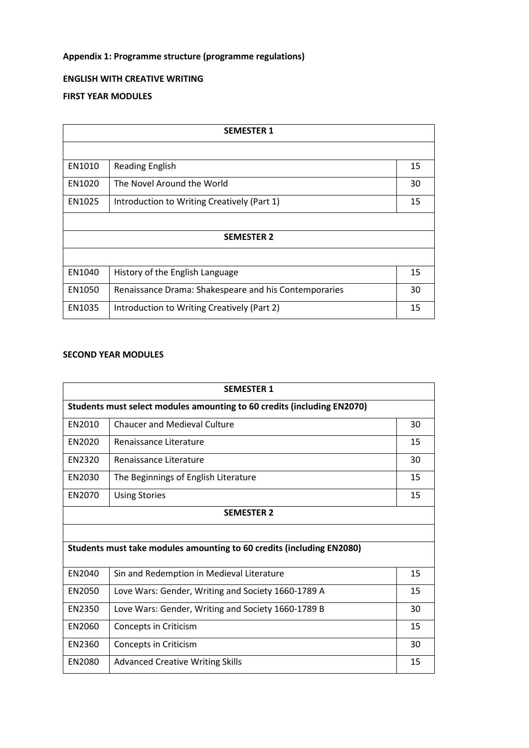# **Appendix 1: Programme structure (programme regulations)**

## **ENGLISH WITH CREATIVE WRITING**

## **FIRST YEAR MODULES**

| <b>SEMESTER 1</b> |                                                       |    |
|-------------------|-------------------------------------------------------|----|
|                   |                                                       |    |
| EN1010            | <b>Reading English</b>                                | 15 |
| EN1020            | The Novel Around the World                            | 30 |
| EN1025            | Introduction to Writing Creatively (Part 1)           | 15 |
|                   |                                                       |    |
| <b>SEMESTER 2</b> |                                                       |    |
|                   |                                                       |    |
| EN1040            | History of the English Language                       | 15 |
| EN1050            | Renaissance Drama: Shakespeare and his Contemporaries | 30 |
| EN1035            | Introduction to Writing Creatively (Part 2)           | 15 |

# **SECOND YEAR MODULES**

|                                                                         | <b>SEMESTER 1</b>                                  |    |  |
|-------------------------------------------------------------------------|----------------------------------------------------|----|--|
| Students must select modules amounting to 60 credits (including EN2070) |                                                    |    |  |
| <b>EN2010</b>                                                           | <b>Chaucer and Medieval Culture</b>                | 30 |  |
| <b>EN2020</b>                                                           | Renaissance Literature                             | 15 |  |
| <b>EN2320</b>                                                           | Renaissance Literature                             | 30 |  |
| EN2030                                                                  | The Beginnings of English Literature               | 15 |  |
| EN2070                                                                  | <b>Using Stories</b>                               | 15 |  |
|                                                                         | <b>SEMESTER 2</b>                                  |    |  |
|                                                                         |                                                    |    |  |
| Students must take modules amounting to 60 credits (including EN2080)   |                                                    |    |  |
| <b>EN2040</b>                                                           | Sin and Redemption in Medieval Literature          | 15 |  |
| EN2050                                                                  | Love Wars: Gender, Writing and Society 1660-1789 A | 15 |  |
| EN2350                                                                  | Love Wars: Gender, Writing and Society 1660-1789 B | 30 |  |
| EN2060                                                                  | Concepts in Criticism                              | 15 |  |
| EN2360                                                                  | Concepts in Criticism                              | 30 |  |
| EN2080                                                                  | <b>Advanced Creative Writing Skills</b>            | 15 |  |